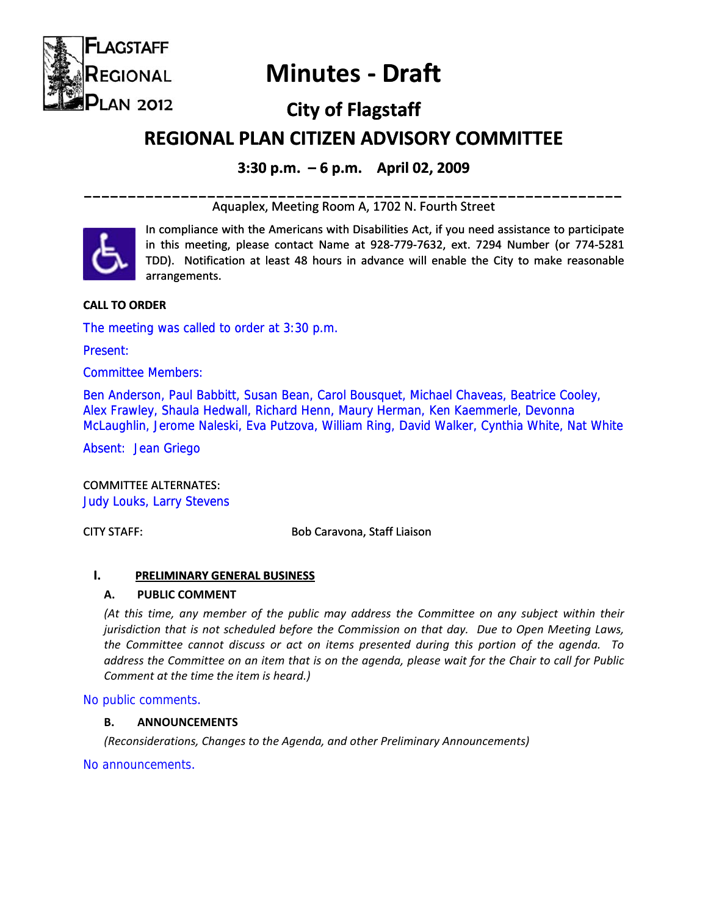

# **Minutes ‐ Draft**

# **City of Flagstaff**

# **REGIONAL REGIONALPLAN CITIZEN ADVISORY COMMITTEE**

# **3:30 p.m. – 6 p.m. April 02, 2009**

# **\_\_\_\_\_\_\_\_\_\_\_\_\_\_\_\_\_\_\_\_\_\_\_\_\_\_\_\_\_\_\_\_\_\_\_\_\_\_\_\_\_\_\_\_\_\_\_\_\_\_\_\_\_\_\_\_\_\_\_\_\_**  Aquaplex, Meeting Room A, 1702 N. Fourth Street



In compliance with the Americans with Disabilities Act, if you need assistance to participate In compliance with the Americans with Disabilities Act, if you need assistance to participate<br>in this meeting, please contact Name at 928‐779‐7632, ext. 7294 Number (or 774‐5281 TDD). Notification at least 48 hours in advance will enable the City to make reasonable arrangements.

# **CALL TO ORDER**

The meeting was called to order at 3:30 p.m.

Present:

Committee Members:

Ben Anderson, Paul Babbitt, Susan Bean, Carol Bousquet, Michael Chaveas, Beatrice Cooley, Alex Frawley, Shaula Hedwall, Richard Henn, Maury Herman, Ken Kaemmerle, Devonna McLaughlin, Jerome Naleski, Eva Putzova, William Ring, David Walker, Cynthia White, Nat White

Absent: Jean Griego

COMMITTEE ALTERNATES: Judy Louks, Larry Stevens

CITY STAFF:  Bob Caravona, Staff Liaison

# **I. PRELIMINARY GENERAL BUSINESS**

# **A. PUBLIC COMMENT**

*(At this time, any member of the public may address the Committee on any subject within their jurisdiction that is not scheduled before the Commission on that day. Due to Open Meeting Laws, the Committee cannot discuss or act on items presented during this portion of the agenda. To* address the Committee on an item that is on the agenda, please wait for the Chair to call for Public *Comment at the time the item is heard.)*

No public comments.

#### **B. ANNOUNCEMENTS**

*(Reconsiderations, Changes to the Agenda, and other Preliminary Announcements)*

No announcements.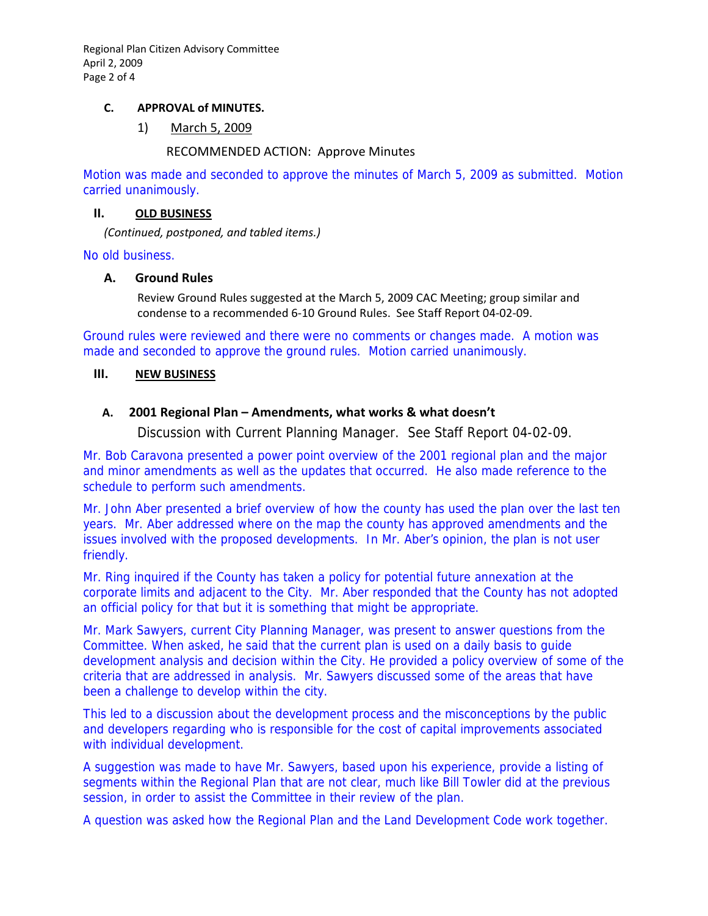Regional Plan Citizen Advisory Committee April 2, 2009 Page 2 of 4

#### **C. APPROVAL of MINUTES.**

1) March 5, 2009

### RECOMMENDED ACTION: Approve Minutes

Motion was made and seconded to approve the minutes of March 5, 2009 as submitted. Motion carried unanimously.

#### **II. OLD BUSINESS**

*(Continued, postponed, and tabled items.)*

No old business.

#### **A. Ground Rules**

Review Ground Rules suggested at the March 5, 2009 CAC Meeting; group similar and condense to a recommended 6‐10 Ground Rules. See Staff Report 04‐02‐09.

Ground rules were reviewed and there were no comments or changes made. A motion was made and seconded to approve the ground rules. Motion carried unanimously.

#### **III. NEW BUSINESS**

#### **A. 2001 Regional Plan – Amendments, what works & what doesn't**

Discussion with Current Planning Manager. See Staff Report 04-02-09.

Mr. Bob Caravona presented a power point overview of the 2001 regional plan and the major and minor amendments as well as the updates that occurred. He also made reference to the schedule to perform such amendments.

Mr. John Aber presented a brief overview of how the county has used the plan over the last ten years. Mr. Aber addressed where on the map the county has approved amendments and the issues involved with the proposed developments. In Mr. Aber's opinion, the plan is not user friendly.

Mr. Ring inquired if the County has taken a policy for potential future annexation at the corporate limits and adjacent to the City. Mr. Aber responded that the County has not adopted an official policy for that but it is something that might be appropriate.

Mr. Mark Sawyers, current City Planning Manager, was present to answer questions from the Committee. When asked, he said that the current plan is used on a daily basis to guide development analysis and decision within the City. He provided a policy overview of some of the criteria that are addressed in analysis. Mr. Sawyers discussed some of the areas that have been a challenge to develop within the city.

This led to a discussion about the development process and the misconceptions by the public and developers regarding who is responsible for the cost of capital improvements associated with individual development.

A suggestion was made to have Mr. Sawyers, based upon his experience, provide a listing of segments within the Regional Plan that are not clear, much like Bill Towler did at the previous session, in order to assist the Committee in their review of the plan.

A question was asked how the Regional Plan and the Land Development Code work together.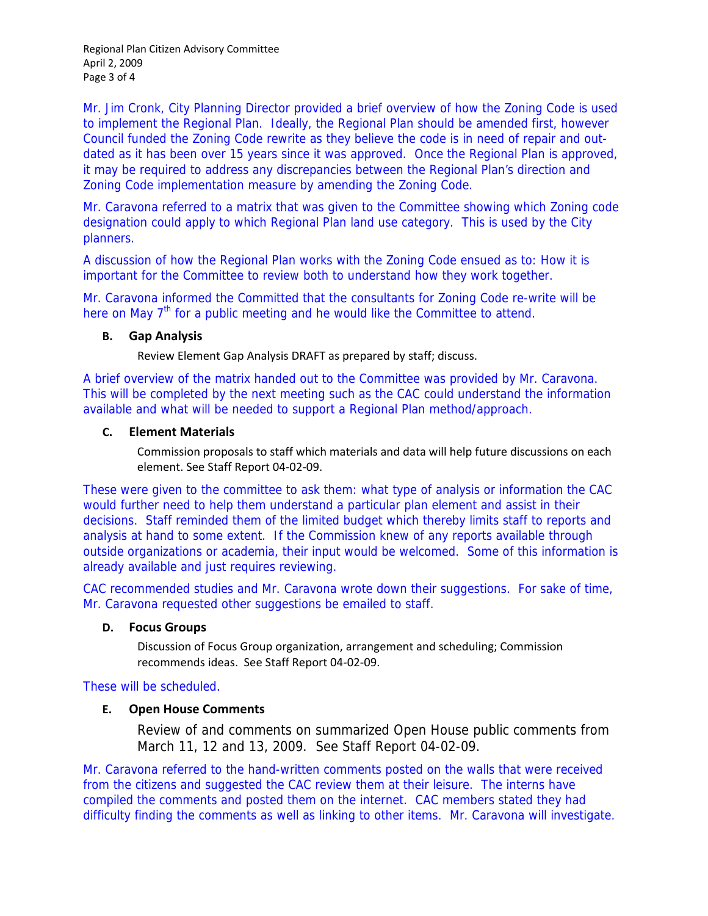Regional Plan Citizen Advisory Committee April 2, 2009 Page 3 of 4

Mr. Jim Cronk, City Planning Director provided a brief overview of how the Zoning Code is used to implement the Regional Plan. Ideally, the Regional Plan should be amended first, however Council funded the Zoning Code rewrite as they believe the code is in need of repair and outdated as it has been over 15 years since it was approved. Once the Regional Plan is approved, it may be required to address any discrepancies between the Regional Plan's direction and Zoning Code implementation measure by amending the Zoning Code.

Mr. Caravona referred to a matrix that was given to the Committee showing which Zoning code designation could apply to which Regional Plan land use category. This is used by the City planners.

A discussion of how the Regional Plan works with the Zoning Code ensued as to: How it is important for the Committee to review both to understand how they work together.

Mr. Caravona informed the Committed that the consultants for Zoning Code re-write will be here on May  $7<sup>th</sup>$  for a public meeting and he would like the Committee to attend.

#### **B. Gap Analysis**

Review Element Gap Analysis DRAFT as prepared by staff; discuss.

A brief overview of the matrix handed out to the Committee was provided by Mr. Caravona. This will be completed by the next meeting such as the CAC could understand the information available and what will be needed to support a Regional Plan method/approach.

#### **C. Element Materials**

Commission proposals to staff which materials and data will help future discussions on each element. See Staff Report 04‐02‐09.

These were given to the committee to ask them: what type of analysis or information the CAC would further need to help them understand a particular plan element and assist in their decisions. Staff reminded them of the limited budget which thereby limits staff to reports and analysis at hand to some extent. If the Commission knew of any reports available through outside organizations or academia, their input would be welcomed. Some of this information is already available and just requires reviewing.

CAC recommended studies and Mr. Caravona wrote down their suggestions. For sake of time, Mr. Caravona requested other suggestions be emailed to staff.

# **D. Focus Groups**

Discussion of Focus Group organization, arrangement and scheduling; Commission recommends ideas. See Staff Report 04‐02‐09.

# These will be scheduled.

# **E. Open House Comments**

Review of and comments on summarized Open House public comments from March 11, 12 and 13, 2009. See Staff Report 04-02-09.

Mr. Caravona referred to the hand-written comments posted on the walls that were received from the citizens and suggested the CAC review them at their leisure. The interns have compiled the comments and posted them on the internet. CAC members stated they had difficulty finding the comments as well as linking to other items. Mr. Caravona will investigate.